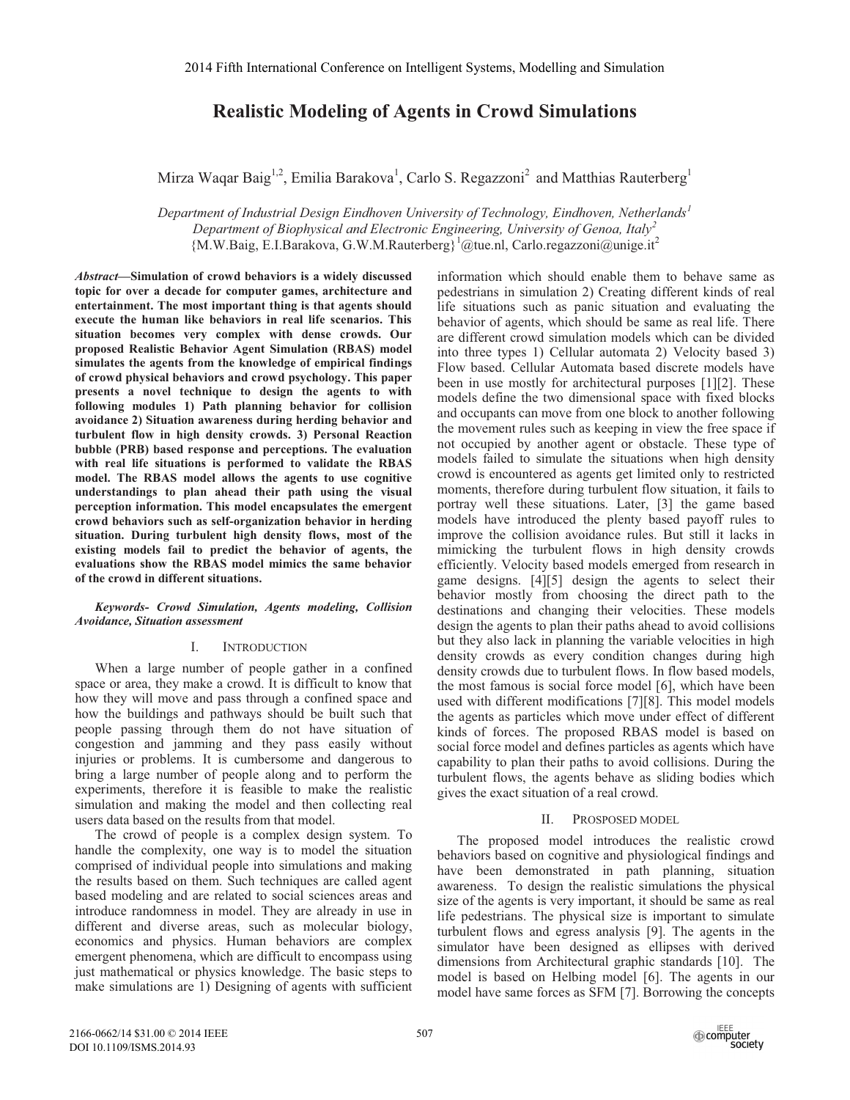## **Realistic Modeling of Agents in Crowd Simulations**

Mirza Waqar Baig<sup>1,2</sup>, Emilia Barakova<sup>1</sup>, Carlo S. Regazzoni<sup>2</sup> and Matthias Rauterberg<sup>1</sup>

*Department of Industrial Design Eindhoven University of Technology, Eindhoven, Netherlands<sup>1</sup> Department of Biophysical and Electronic Engineering, University of Genoa, Italy<sup>2</sup>* {M.W.Baig, E.I.Barakova, G.W.M.Rauterberg}<sup>1</sup> @tue.nl, Carlo.regazzoni@unige.it<sup>2</sup>

*Abstract***—Simulation of crowd behaviors is a widely discussed topic for over a decade for computer games, architecture and entertainment. The most important thing is that agents should execute the human like behaviors in real life scenarios. This situation becomes very complex with dense crowds. Our proposed Realistic Behavior Agent Simulation (RBAS) model simulates the agents from the knowledge of empirical findings of crowd physical behaviors and crowd psychology. This paper presents a novel technique to design the agents to with following modules 1) Path planning behavior for collision avoidance 2) Situation awareness during herding behavior and turbulent flow in high density crowds. 3) Personal Reaction bubble (PRB) based response and perceptions. The evaluation with real life situations is performed to validate the RBAS model. The RBAS model allows the agents to use cognitive understandings to plan ahead their path using the visual perception information. This model encapsulates the emergent crowd behaviors such as self-organization behavior in herding situation. During turbulent high density flows, most of the existing models fail to predict the behavior of agents, the evaluations show the RBAS model mimics the same behavior of the crowd in different situations.** 

*Keywords- Crowd Simulation, Agents modeling, Collision Avoidance, Situation assessment* 

#### I. INTRODUCTION

When a large number of people gather in a confined space or area, they make a crowd. It is difficult to know that how they will move and pass through a confined space and how the buildings and pathways should be built such that people passing through them do not have situation of congestion and jamming and they pass easily without injuries or problems. It is cumbersome and dangerous to bring a large number of people along and to perform the experiments, therefore it is feasible to make the realistic simulation and making the model and then collecting real users data based on the results from that model.

The crowd of people is a complex design system. To handle the complexity, one way is to model the situation comprised of individual people into simulations and making the results based on them. Such techniques are called agent based modeling and are related to social sciences areas and introduce randomness in model. They are already in use in different and diverse areas, such as molecular biology, economics and physics. Human behaviors are complex emergent phenomena, which are difficult to encompass using just mathematical or physics knowledge. The basic steps to make simulations are 1) Designing of agents with sufficient

information which should enable them to behave same as pedestrians in simulation 2) Creating different kinds of real life situations such as panic situation and evaluating the behavior of agents, which should be same as real life. There are different crowd simulation models which can be divided into three types 1) Cellular automata 2) Velocity based 3) Flow based. Cellular Automata based discrete models have been in use mostly for architectural purposes [1][2]. These models define the two dimensional space with fixed blocks and occupants can move from one block to another following the movement rules such as keeping in view the free space if not occupied by another agent or obstacle. These type of models failed to simulate the situations when high density crowd is encountered as agents get limited only to restricted moments, therefore during turbulent flow situation, it fails to portray well these situations. Later, [3] the game based models have introduced the plenty based payoff rules to improve the collision avoidance rules. But still it lacks in mimicking the turbulent flows in high density crowds efficiently. Velocity based models emerged from research in game designs. [4][5] design the agents to select their behavior mostly from choosing the direct path to the destinations and changing their velocities. These models design the agents to plan their paths ahead to avoid collisions but they also lack in planning the variable velocities in high density crowds as every condition changes during high density crowds due to turbulent flows. In flow based models, the most famous is social force model [6], which have been used with different modifications [7][8]. This model models the agents as particles which move under effect of different kinds of forces. The proposed RBAS model is based on social force model and defines particles as agents which have capability to plan their paths to avoid collisions. During the turbulent flows, the agents behave as sliding bodies which gives the exact situation of a real crowd.

#### II. PROSPOSED MODEL

The proposed model introduces the realistic crowd behaviors based on cognitive and physiological findings and have been demonstrated in path planning, situation awareness. To design the realistic simulations the physical size of the agents is very important, it should be same as real life pedestrians. The physical size is important to simulate turbulent flows and egress analysis [9]. The agents in the simulator have been designed as ellipses with derived dimensions from Architectural graphic standards [10]. The model is based on Helbing model [6]. The agents in our model have same forces as SFM [7]. Borrowing the concepts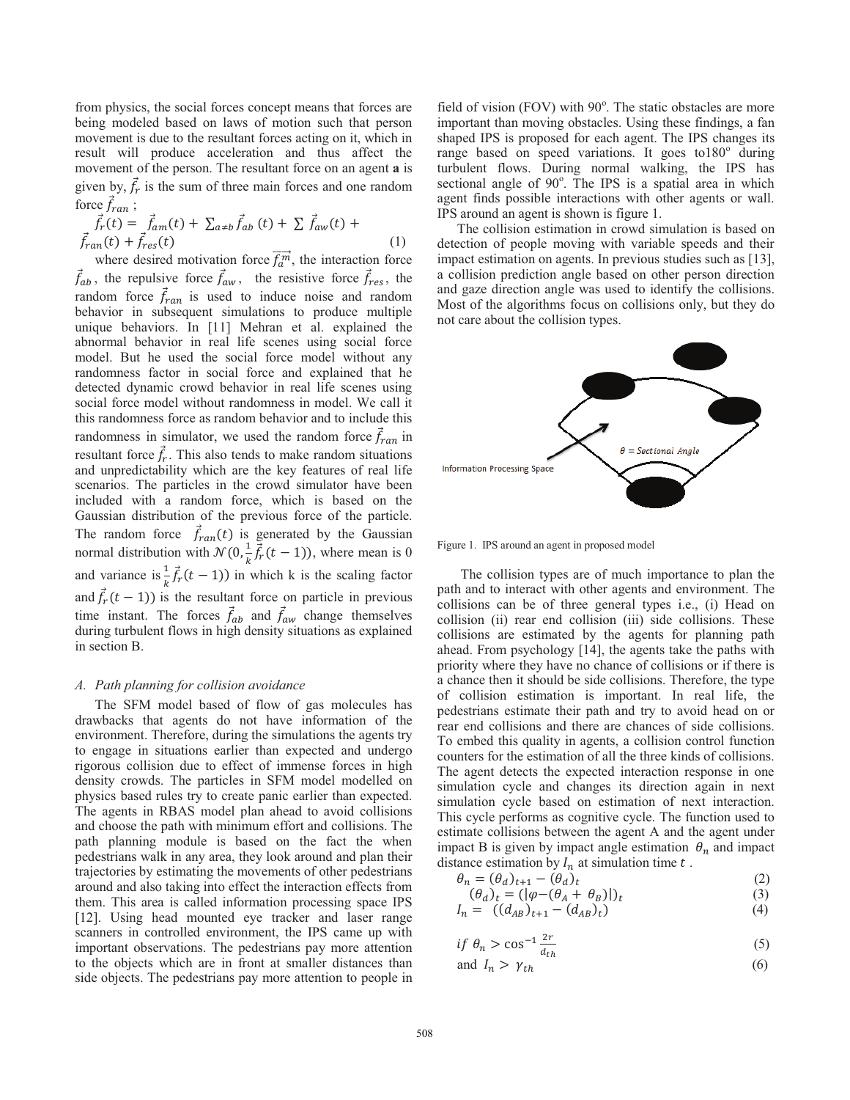from physics, the social forces concept means that forces are being modeled based on laws of motion such that person movement is due to the resultant forces acting on it, which in result will produce acceleration and thus affect the movement of the person. The resultant force on an agent **a** is given by,  $f_r$  is the sum of three main forces and one random force  $f_{ran}$ ;

$$
\vec{f}_r(t) = \vec{f}_{am}(t) + \sum_{a \neq b} \vec{f}_{ab}(t) + \sum \vec{f}_{aw}(t) + \vec{f}_{ran}(t) + \vec{f}_{res}(t)
$$
\n(1)

where desired motivation force  $f_a^m$ , the interaction force  $f_{ab}$ , the repulsive force  $f_{aw}$ , the resistive force  $f_{res}$ , the random force  $f_{ran}$  is used to induce noise and random behavior in subsequent simulations to produce multiple unique behaviors. In [11] Mehran et al. explained the abnormal behavior in real life scenes using social force model. But he used the social force model without any randomness factor in social force and explained that he detected dynamic crowd behavior in real life scenes using social force model without randomness in model. We call it this randomness force as random behavior and to include this randomness in simulator, we used the random force  $f_{ran}$  in resultant force  $f_r$ . This also tends to make random situations and unpredictability which are the key features of real life scenarios. The particles in the crowd simulator have been included with a random force, which is based on the Gaussian distribution of the previous force of the particle. The random force  $f_{ran}(t)$  is generated by the Gaussian normal distribution with  $\mathcal{N}(0, \frac{1}{k}\vec{f}_r(t-1))$ , where mean is 0 and variance is  $\frac{1}{k} \vec{f}_r(t-1)$ ) in which k is the scaling factor and  $f_r(t-1)$ ) is the resultant force on particle in previous time instant. The forces  $f_{ab}$  and  $f_{aw}$  change themselves during turbulent flows in high density situations as explained in section B.

#### *A. Path planning for collision avoidance*

The SFM model based of flow of gas molecules has drawbacks that agents do not have information of the environment. Therefore, during the simulations the agents try to engage in situations earlier than expected and undergo rigorous collision due to effect of immense forces in high density crowds. The particles in SFM model modelled on physics based rules try to create panic earlier than expected. The agents in RBAS model plan ahead to avoid collisions and choose the path with minimum effort and collisions. The path planning module is based on the fact the when pedestrians walk in any area, they look around and plan their trajectories by estimating the movements of other pedestrians around and also taking into effect the interaction effects from them. This area is called information processing space IPS [12]. Using head mounted eye tracker and laser range scanners in controlled environment, the IPS came up with important observations. The pedestrians pay more attention to the objects which are in front at smaller distances than side objects. The pedestrians pay more attention to people in

field of vision (FOV) with 90°. The static obstacles are more important than moving obstacles. Using these findings, a fan shaped IPS is proposed for each agent. The IPS changes its range based on speed variations. It goes to180° during turbulent flows. During normal walking, the IPS has sectional angle of 90°. The IPS is a spatial area in which agent finds possible interactions with other agents or wall. IPS around an agent is shown is figure 1.

The collision estimation in crowd simulation is based on detection of people moving with variable speeds and their impact estimation on agents. In previous studies such as [13], a collision prediction angle based on other person direction and gaze direction angle was used to identify the collisions. Most of the algorithms focus on collisions only, but they do not care about the collision types.



Figure 1. IPS around an agent in proposed model

 The collision types are of much importance to plan the path and to interact with other agents and environment. The collisions can be of three general types i.e., (i) Head on collision (ii) rear end collision (iii) side collisions. These collisions are estimated by the agents for planning path ahead. From psychology [14], the agents take the paths with priority where they have no chance of collisions or if there is a chance then it should be side collisions. Therefore, the type of collision estimation is important. In real life, the pedestrians estimate their path and try to avoid head on or rear end collisions and there are chances of side collisions. To embed this quality in agents, a collision control function counters for the estimation of all the three kinds of collisions. The agent detects the expected interaction response in one simulation cycle and changes its direction again in next simulation cycle based on estimation of next interaction. This cycle performs as cognitive cycle. The function used to estimate collisions between the agent A and the agent under impact B is given by impact angle estimation  $\theta_n$  and impact distance estimation by  $I_n$  at simulation time  $t$ .

$$
\theta_n = (\theta_d)_{t+1} - (\theta_d)_t \tag{2}
$$

$$
(\theta_d)_t = (|\varphi - (\theta_A + \theta_B)|)_t \tag{3}
$$

$$
I_n = ((d_{AB})_{t+1} - (d_{AB})_t) \tag{4}
$$

$$
if \theta_n > \cos^{-1} \frac{2r}{d_{th}} \tag{5}
$$

and 
$$
I_n > \gamma_{th} \tag{6}
$$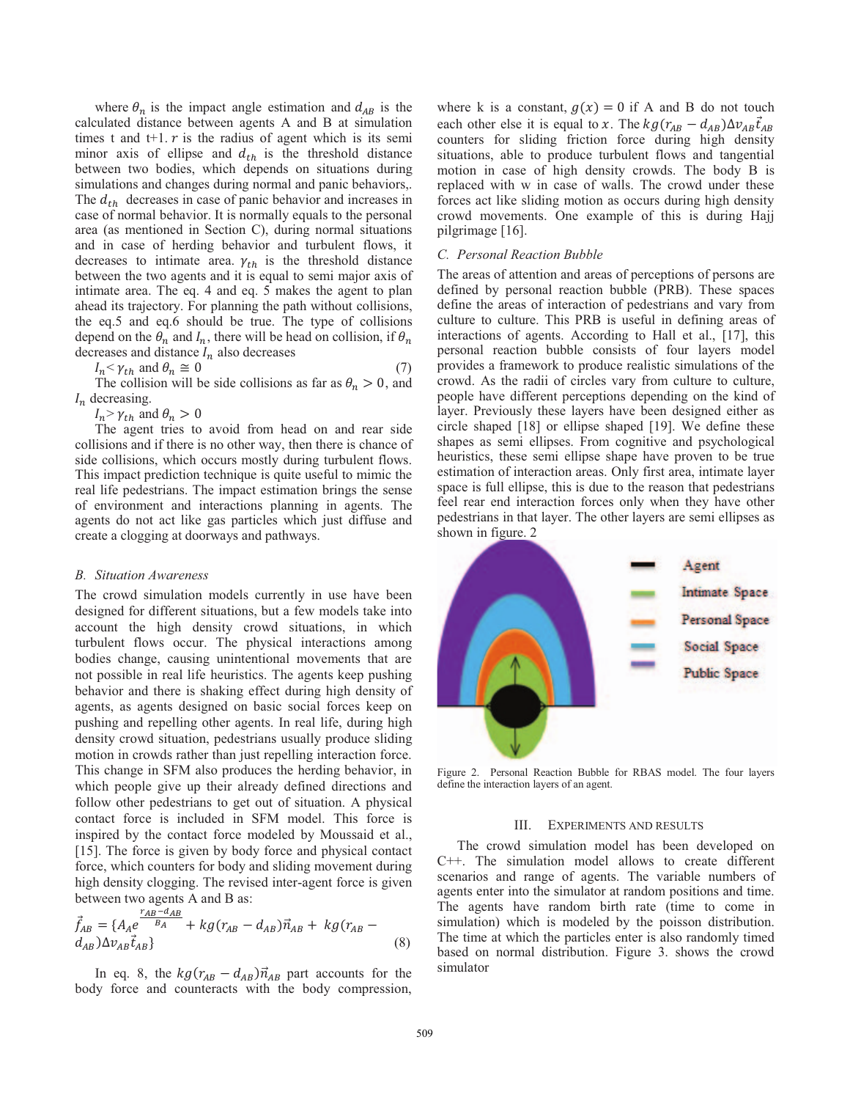where  $\theta_n$  is the impact angle estimation and  $d_{AB}$  is the calculated distance between agents A and B at simulation times t and  $t+1$ .  $r$  is the radius of agent which is its semi minor axis of ellipse and  $d_{th}$  is the threshold distance between two bodies, which depends on situations during simulations and changes during normal and panic behaviors,. The  $d_{th}$  decreases in case of panic behavior and increases in case of normal behavior. It is normally equals to the personal area (as mentioned in Section C), during normal situations and in case of herding behavior and turbulent flows, it decreases to intimate area.  $\gamma_{th}$  is the threshold distance between the two agents and it is equal to semi major axis of intimate area. The eq. 4 and eq. 5 makes the agent to plan ahead its trajectory. For planning the path without collisions, the eq.5 and eq.6 should be true. The type of collisions depend on the  $\theta_n$  and  $I_n$ , there will be head on collision, if  $\theta_n$ decreases and distance  $I_n$  also decreases<br> $I_n \le \gamma_{ab}$  and  $\theta_n \approx 0$ 

$$
I_n < \gamma_{th} \text{ and } \theta_n \cong 0 \tag{7}
$$

The collision will be side collisions as far as  $\theta_n > 0$ , and  $I_n$  decreasing.

 $I_n$  >  $\gamma_{th}$  and  $\theta_n > 0$ 

The agent tries to avoid from head on and rear side collisions and if there is no other way, then there is chance of side collisions, which occurs mostly during turbulent flows. This impact prediction technique is quite useful to mimic the real life pedestrians. The impact estimation brings the sense of environment and interactions planning in agents. The agents do not act like gas particles which just diffuse and create a clogging at doorways and pathways.

#### *B. Situation Awareness*

The crowd simulation models currently in use have been designed for different situations, but a few models take into account the high density crowd situations, in which turbulent flows occur. The physical interactions among bodies change, causing unintentional movements that are not possible in real life heuristics. The agents keep pushing behavior and there is shaking effect during high density of agents, as agents designed on basic social forces keep on pushing and repelling other agents. In real life, during high density crowd situation, pedestrians usually produce sliding motion in crowds rather than just repelling interaction force. This change in SFM also produces the herding behavior, in which people give up their already defined directions and follow other pedestrians to get out of situation. A physical contact force is included in SFM model. This force is inspired by the contact force modeled by Moussaid et al., [15]. The force is given by body force and physical contact force, which counters for body and sliding movement during high density clogging. The revised inter-agent force is given between two agents A and B as:

$$
\vec{f}_{AB} = \{A_A e^{\frac{r_{AB} - d_{AB}}{B_A}} + kg(r_{AB} - d_{AB})\vec{n}_{AB} + kg(r_{AB} - d_{AB})\Delta v_{AB}\vec{f}_{AB}\}\n \tag{8}
$$

In eq. 8, the  $k g (r_{AB} - d_{AB}) \vec{n}_{AB}$  part accounts for the body force and counteracts with the body compression, where k is a constant,  $g(x) = 0$  if A and B do not touch each other else it is equal to x. The  $k g (r_{AB} - d_{AB}) \Delta v_{AB} \vec{t}_{AB}$ counters for sliding friction force during high density situations, able to produce turbulent flows and tangential motion in case of high density crowds. The body B is replaced with w in case of walls. The crowd under these forces act like sliding motion as occurs during high density crowd movements. One example of this is during Hajj pilgrimage [16].

#### *C. Personal Reaction Bubble*

The areas of attention and areas of perceptions of persons are defined by personal reaction bubble (PRB). These spaces define the areas of interaction of pedestrians and vary from culture to culture. This PRB is useful in defining areas of interactions of agents. According to Hall et al., [17], this personal reaction bubble consists of four layers model provides a framework to produce realistic simulations of the crowd. As the radii of circles vary from culture to culture, people have different perceptions depending on the kind of layer. Previously these layers have been designed either as circle shaped [18] or ellipse shaped [19]. We define these shapes as semi ellipses. From cognitive and psychological heuristics, these semi ellipse shape have proven to be true estimation of interaction areas. Only first area, intimate layer space is full ellipse, this is due to the reason that pedestrians feel rear end interaction forces only when they have other pedestrians in that layer. The other layers are semi ellipses as shown in figure. 2



Figure 2. Personal Reaction Bubble for RBAS model. The four layers define the interaction layers of an agent.

#### III. EXPERIMENTS AND RESULTS

The crowd simulation model has been developed on C++. The simulation model allows to create different scenarios and range of agents. The variable numbers of agents enter into the simulator at random positions and time. The agents have random birth rate (time to come in simulation) which is modeled by the poisson distribution. The time at which the particles enter is also randomly timed based on normal distribution. Figure 3. shows the crowd simulator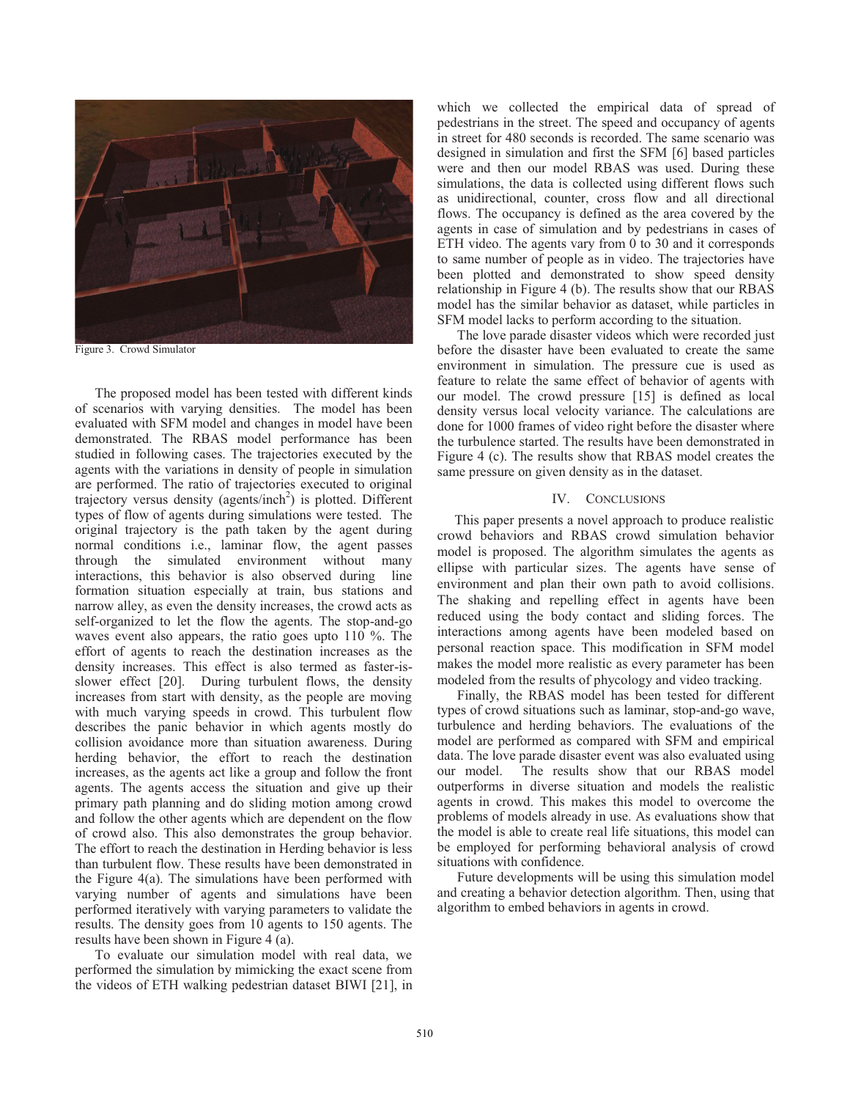

Figure 3. Crowd Simulator

The proposed model has been tested with different kinds of scenarios with varying densities. The model has been evaluated with SFM model and changes in model have been demonstrated. The RBAS model performance has been studied in following cases. The trajectories executed by the agents with the variations in density of people in simulation are performed. The ratio of trajectories executed to original trajectory versus density (agents/inch<sup>2</sup>) is plotted. Different types of flow of agents during simulations were tested. The original trajectory is the path taken by the agent during normal conditions i.e., laminar flow, the agent passes through the simulated environment without many interactions, this behavior is also observed during line formation situation especially at train, bus stations and narrow alley, as even the density increases, the crowd acts as self-organized to let the flow the agents. The stop-and-go waves event also appears, the ratio goes upto 110 %. The effort of agents to reach the destination increases as the density increases. This effect is also termed as faster-isslower effect [20]. During turbulent flows, the density increases from start with density, as the people are moving with much varying speeds in crowd. This turbulent flow describes the panic behavior in which agents mostly do collision avoidance more than situation awareness. During herding behavior, the effort to reach the destination increases, as the agents act like a group and follow the front agents. The agents access the situation and give up their primary path planning and do sliding motion among crowd and follow the other agents which are dependent on the flow of crowd also. This also demonstrates the group behavior. The effort to reach the destination in Herding behavior is less than turbulent flow. These results have been demonstrated in the Figure 4(a). The simulations have been performed with varying number of agents and simulations have been performed iteratively with varying parameters to validate the results. The density goes from 10 agents to 150 agents. The results have been shown in Figure 4 (a).

To evaluate our simulation model with real data, we performed the simulation by mimicking the exact scene from the videos of ETH walking pedestrian dataset BIWI [21], in which we collected the empirical data of spread of pedestrians in the street. The speed and occupancy of agents in street for 480 seconds is recorded. The same scenario was designed in simulation and first the SFM [6] based particles were and then our model RBAS was used. During these simulations, the data is collected using different flows such as unidirectional, counter, cross flow and all directional flows. The occupancy is defined as the area covered by the agents in case of simulation and by pedestrians in cases of ETH video. The agents vary from 0 to 30 and it corresponds to same number of people as in video. The trajectories have been plotted and demonstrated to show speed density relationship in Figure 4 (b). The results show that our RBAS model has the similar behavior as dataset, while particles in SFM model lacks to perform according to the situation.

The love parade disaster videos which were recorded just before the disaster have been evaluated to create the same environment in simulation. The pressure cue is used as feature to relate the same effect of behavior of agents with our model. The crowd pressure [15] is defined as local density versus local velocity variance. The calculations are done for 1000 frames of video right before the disaster where the turbulence started. The results have been demonstrated in Figure 4 (c). The results show that RBAS model creates the same pressure on given density as in the dataset.

#### IV. CONCLUSIONS

 This paper presents a novel approach to produce realistic crowd behaviors and RBAS crowd simulation behavior model is proposed. The algorithm simulates the agents as ellipse with particular sizes. The agents have sense of environment and plan their own path to avoid collisions. The shaking and repelling effect in agents have been reduced using the body contact and sliding forces. The interactions among agents have been modeled based on personal reaction space. This modification in SFM model makes the model more realistic as every parameter has been modeled from the results of phycology and video tracking.

Finally, the RBAS model has been tested for different types of crowd situations such as laminar, stop-and-go wave, turbulence and herding behaviors. The evaluations of the model are performed as compared with SFM and empirical data. The love parade disaster event was also evaluated using<br>our model. The results show that our RBAS model The results show that our RBAS model outperforms in diverse situation and models the realistic agents in crowd. This makes this model to overcome the problems of models already in use. As evaluations show that the model is able to create real life situations, this model can be employed for performing behavioral analysis of crowd situations with confidence.

Future developments will be using this simulation model and creating a behavior detection algorithm. Then, using that algorithm to embed behaviors in agents in crowd.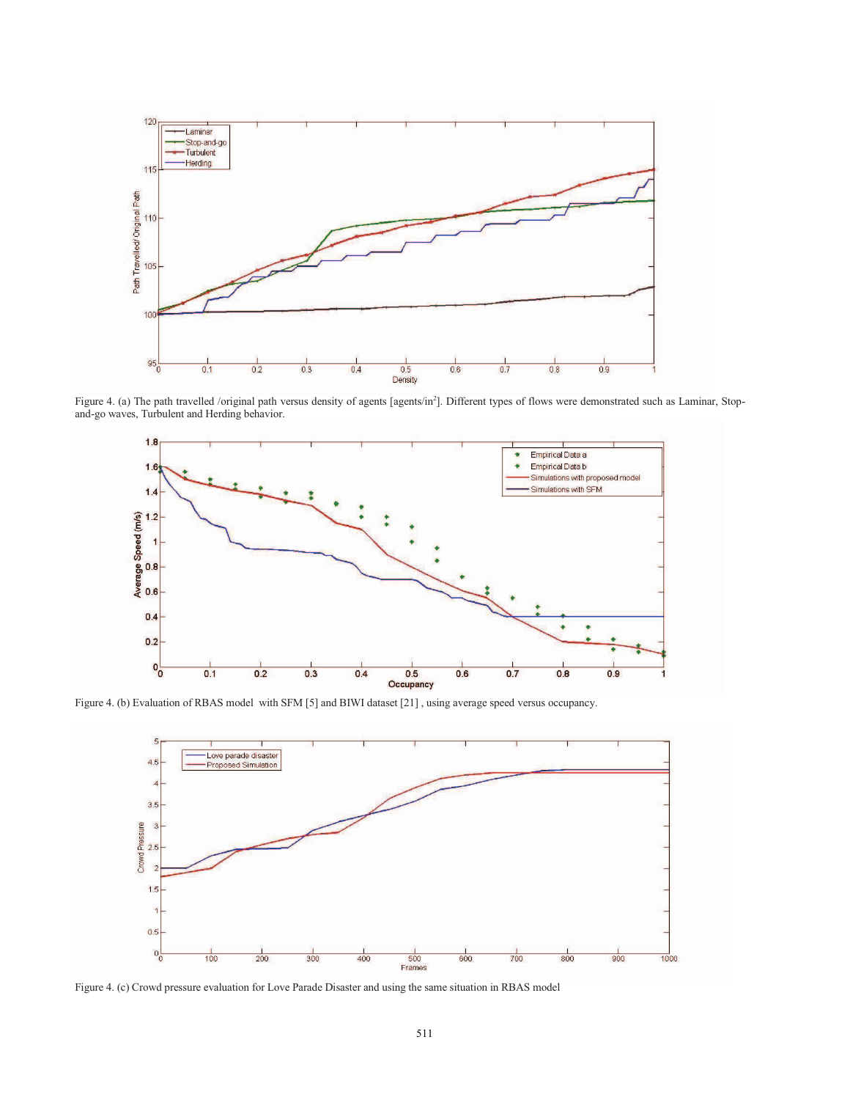

Figure 4. (a) The path travelled /original path versus density of agents [agents/in<sup>2</sup>]. Different types of flows were demonstrated such as Laminar, Stopand-go waves, Turbulent and Herding behavior.



Figure 4. (b) Evaluation of RBAS model with SFM [5] and BIWI dataset [21] , using average speed versus occupancy.



Figure 4. (c) Crowd pressure evaluation for Love Parade Disaster and using the same situation in RBAS model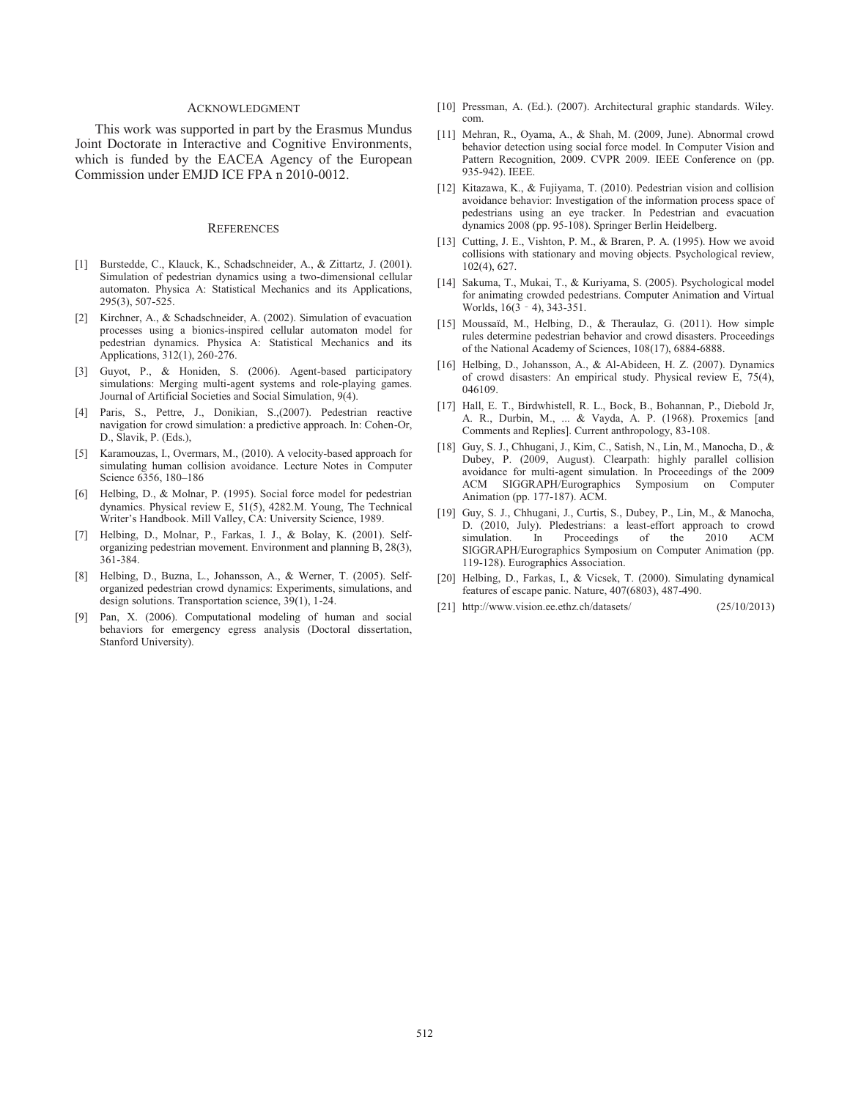#### ACKNOWLEDGMENT

This work was supported in part by the Erasmus Mundus Joint Doctorate in Interactive and Cognitive Environments, which is funded by the EACEA Agency of the European Commission under EMJD ICE FPA n 2010-0012.

#### **REFERENCES**

- [1] Burstedde, C., Klauck, K., Schadschneider, A., & Zittartz, J. (2001). Simulation of pedestrian dynamics using a two-dimensional cellular automaton. Physica A: Statistical Mechanics and its Applications, 295(3), 507-525.
- [2] Kirchner, A., & Schadschneider, A. (2002). Simulation of evacuation processes using a bionics-inspired cellular automaton model for pedestrian dynamics. Physica A: Statistical Mechanics and its Applications, 312(1), 260-276.
- [3] Guyot, P., & Honiden, S. (2006). Agent-based participatory simulations: Merging multi-agent systems and role-playing games. Journal of Artificial Societies and Social Simulation, 9(4).
- [4] Paris, S., Pettre, J., Donikian, S.,(2007). Pedestrian reactive navigation for crowd simulation: a predictive approach. In: Cohen-Or, D., Slavik, P. (Eds.),
- [5] Karamouzas, I., Overmars, M., (2010). A velocity-based approach for simulating human collision avoidance. Lecture Notes in Computer Science 6356, 180–186
- [6] Helbing, D., & Molnar, P. (1995). Social force model for pedestrian dynamics. Physical review E, 51(5), 4282.M. Young, The Technical Writer's Handbook. Mill Valley, CA: University Science, 1989.
- [7] Helbing, D., Molnar, P., Farkas, I. J., & Bolay, K. (2001). Selforganizing pedestrian movement. Environment and planning B, 28(3), 361-384.
- [8] Helbing, D., Buzna, L., Johansson, A., & Werner, T. (2005). Selforganized pedestrian crowd dynamics: Experiments, simulations, and design solutions. Transportation science, 39(1), 1-24.
- [9] Pan, X. (2006). Computational modeling of human and social behaviors for emergency egress analysis (Doctoral dissertation, Stanford University).
- [10] Pressman, A. (Ed.). (2007). Architectural graphic standards. Wiley. com.
- [11] Mehran, R., Oyama, A., & Shah, M. (2009, June). Abnormal crowd behavior detection using social force model. In Computer Vision and Pattern Recognition, 2009. CVPR 2009. IEEE Conference on (pp. 935-942). IEEE.
- [12] Kitazawa, K., & Fujiyama, T. (2010). Pedestrian vision and collision avoidance behavior: Investigation of the information process space of pedestrians using an eye tracker. In Pedestrian and evacuation dynamics 2008 (pp. 95-108). Springer Berlin Heidelberg.
- [13] Cutting, J. E., Vishton, P. M., & Braren, P. A. (1995). How we avoid collisions with stationary and moving objects. Psychological review, 102(4), 627.
- [14] Sakuma, T., Mukai, T., & Kuriyama, S. (2005). Psychological model for animating crowded pedestrians. Computer Animation and Virtual Worlds,  $16(3 - 4)$ , 343-351.
- [15] Moussaïd, M., Helbing, D., & Theraulaz, G. (2011). How simple rules determine pedestrian behavior and crowd disasters. Proceedings of the National Academy of Sciences, 108(17), 6884-6888.
- [16] Helbing, D., Johansson, A., & Al-Abideen, H. Z. (2007). Dynamics of crowd disasters: An empirical study. Physical review E, 75(4), 046109.
- [17] Hall, E. T., Birdwhistell, R. L., Bock, B., Bohannan, P., Diebold Jr, A. R., Durbin, M., ... & Vayda, A. P. (1968). Proxemics [and Comments and Replies]. Current anthropology, 83-108.
- [18] Guy, S. J., Chhugani, J., Kim, C., Satish, N., Lin, M., Manocha, D., & Dubey, P. (2009, August). Clearpath: highly parallel collision avoidance for multi-agent simulation. In Proceedings of the 2009 ACM SIGGRAPH/Eurographics Symposium on Computer Animation (pp. 177-187). ACM.
- [19] Guy, S. J., Chhugani, J., Curtis, S., Dubey, P., Lin, M., & Manocha, D. (2010, July). Pledestrians: a least-effort approach to crowd simulation. In Proceedings of the 2010 ACM SIGGRAPH/Eurographics Symposium on Computer Animation (pp. 119-128). Eurographics Association.
- [20] Helbing, D., Farkas, I., & Vicsek, T. (2000). Simulating dynamical features of escape panic. Nature, 407(6803), 487-490.
- [21] http://www.vision.ee.ethz.ch/datasets/ (25/10/2013)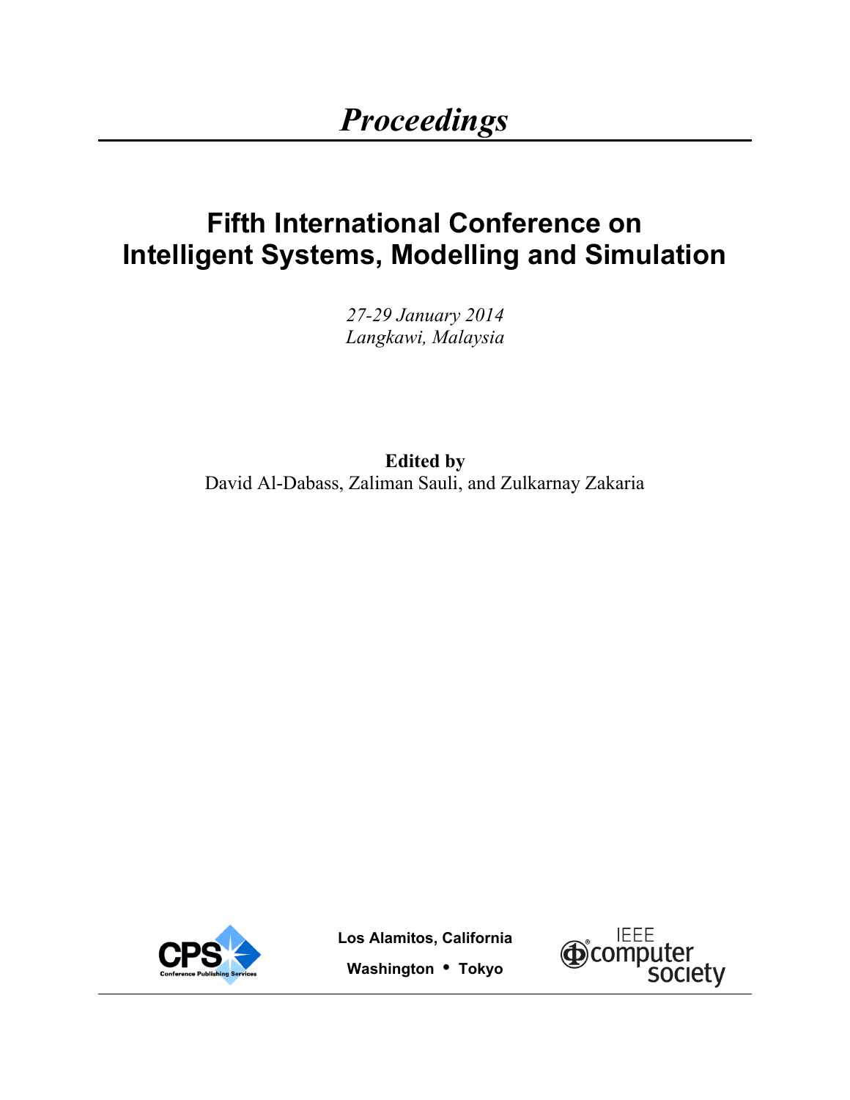# **Fifth International Conference on Intelligent Systems, Modelling and Simulation**

*27-29 January 2014 Langkawi, Malaysia*

**Edited by**  David Al-Dabass, Zaliman Sauli, and Zulkarnay Zakaria



**Los Alamitos, California Washington • Tokyo**

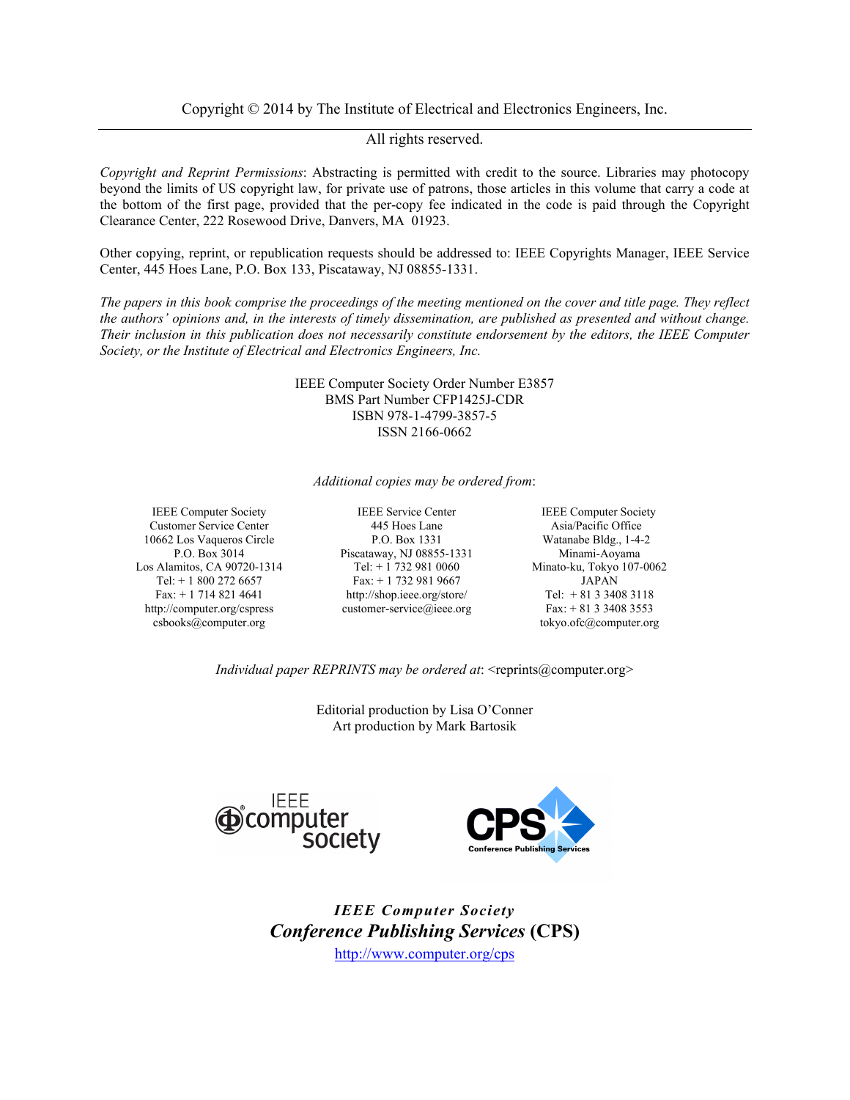Copyright © 2014 by The Institute of Electrical and Electronics Engineers, Inc.

All rights reserved.

*Copyright and Reprint Permissions*: Abstracting is permitted with credit to the source. Libraries may photocopy beyond the limits of US copyright law, for private use of patrons, those articles in this volume that carry a code at the bottom of the first page, provided that the per-copy fee indicated in the code is paid through the Copyright Clearance Center, 222 Rosewood Drive, Danvers, MA 01923.

Other copying, reprint, or republication requests should be addressed to: IEEE Copyrights Manager, IEEE Service Center, 445 Hoes Lane, P.O. Box 133, Piscataway, NJ 08855-1331.

*The papers in this book comprise the proceedings of the meeting mentioned on the cover and title page. They reflect the authors' opinions and, in the interests of timely dissemination, are published as presented and without change. Their inclusion in this publication does not necessarily constitute endorsement by the editors, the IEEE Computer Society, or the Institute of Electrical and Electronics Engineers, Inc.*

> IEEE Computer Society Order Number E3857 BMS Part Number CFP1425J-CDR ISBN 978-1-4799-3857-5 ISSN 2166-0662

*Additional copies may be ordered from*:

Los Alamitos, CA 90720-1314 Tel: + 1 732 981 0060 Minato-ku, Tokyo 107-0062 http://computer.org/cspress csbooks@computer.org

IEEE Computer Society IEEE Service Center IEEE Computer Society Customer Service Center 445 Hoes Lane Asia/Pacific Office 10662 Los Vaqueros Circle P.O. Box 1331 Watanabe Bldg., 1-4-2 P.O. Box 3014 Piscataway, NJ 08855-1331 Minami-Aoyama Tel: + 1 800 272 6657 Fax: + 1 732 981 9667 JAPAN Fax: + 1 714 821 4641 http://shop.ieee.org/store/ Tel: + 81 3 3408 3118 customer-service@ieee.org Fax: + 81 3 3408 3553

tokyo.ofc@computer.org

*Individual paper REPRINTS may be ordered at:* <reprints@computer.org>

Editorial production by Lisa O'Conner Art production by Mark Bartosik





*IEEE Computer Society Conference Publishing Services* **(CPS)**  http://www.computer.org/cps